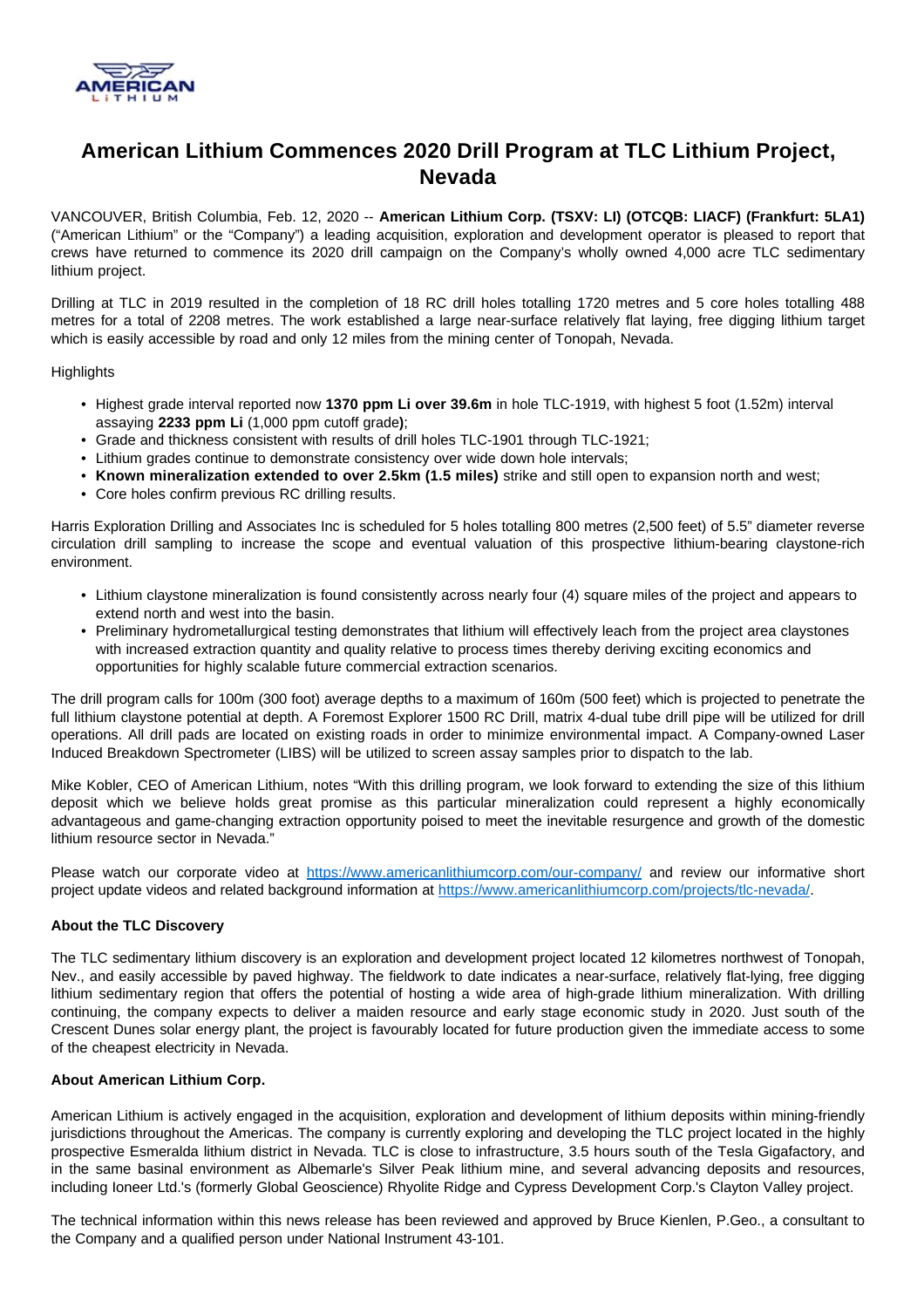

# **American Lithium Commences 2020 Drill Program at TLC Lithium Project, Nevada**

VANCOUVER, British Columbia, Feb. 12, 2020 -- **American Lithium Corp. (TSXV: LI) (OTCQB: LIACF) (Frankfurt: 5LA1)**  ("American Lithium" or the "Company") a leading acquisition, exploration and development operator is pleased to report that crews have returned to commence its 2020 drill campaign on the Company's wholly owned 4,000 acre TLC sedimentary lithium project.

Drilling at TLC in 2019 resulted in the completion of 18 RC drill holes totalling 1720 metres and 5 core holes totalling 488 metres for a total of 2208 metres. The work established a large near-surface relatively flat laying, free digging lithium target which is easily accessible by road and only 12 miles from the mining center of Tonopah, Nevada.

## **Highlights**

- Highest grade interval reported now **1370 ppm Li over 39.6m** in hole TLC-1919, with highest 5 foot (1.52m) interval assaying **2233 ppm Li** (1,000 ppm cutoff grade**)**;
- Grade and thickness consistent with results of drill holes TLC-1901 through TLC-1921;
- Lithium grades continue to demonstrate consistency over wide down hole intervals;
- **Known mineralization extended to over 2.5km (1.5 miles)** strike and still open to expansion north and west;
- Core holes confirm previous RC drilling results.

Harris Exploration Drilling and Associates Inc is scheduled for 5 holes totalling 800 metres (2,500 feet) of 5.5" diameter reverse circulation drill sampling to increase the scope and eventual valuation of this prospective lithium-bearing claystone-rich environment.

- Lithium claystone mineralization is found consistently across nearly four (4) square miles of the project and appears to extend north and west into the basin.
- Preliminary hydrometallurgical testing demonstrates that lithium will effectively leach from the project area claystones with increased extraction quantity and quality relative to process times thereby deriving exciting economics and opportunities for highly scalable future commercial extraction scenarios.

The drill program calls for 100m (300 foot) average depths to a maximum of 160m (500 feet) which is projected to penetrate the full lithium claystone potential at depth. A Foremost Explorer 1500 RC Drill, matrix 4-dual tube drill pipe will be utilized for drill operations. All drill pads are located on existing roads in order to minimize environmental impact. A Company-owned Laser Induced Breakdown Spectrometer (LIBS) will be utilized to screen assay samples prior to dispatch to the lab.

Mike Kobler, CEO of American Lithium, notes "With this drilling program, we look forward to extending the size of this lithium deposit which we believe holds great promise as this particular mineralization could represent a highly economically advantageous and game-changing extraction opportunity poised to meet the inevitable resurgence and growth of the domestic lithium resource sector in Nevada."

Please watch our corporate video at <https://www.americanlithiumcorp.com/our-company/> and review our informative short project update videos and related background information at [https://www.americanlithiumcorp.com/projects/tlc-nevada/.](https://www.americanlithiumcorp.com/projects/tlc-nevada/)

## **About the TLC Discovery**

The TLC sedimentary lithium discovery is an exploration and development project located 12 kilometres northwest of Tonopah, Nev., and easily accessible by paved highway. The fieldwork to date indicates a near-surface, relatively flat-lying, free digging lithium sedimentary region that offers the potential of hosting a wide area of high-grade lithium mineralization. With drilling continuing, the company expects to deliver a maiden resource and early stage economic study in 2020. Just south of the Crescent Dunes solar energy plant, the project is favourably located for future production given the immediate access to some of the cheapest electricity in Nevada.

## **About American Lithium Corp.**

American Lithium is actively engaged in the acquisition, exploration and development of lithium deposits within mining-friendly jurisdictions throughout the Americas. The company is currently exploring and developing the TLC project located in the highly prospective Esmeralda lithium district in Nevada. TLC is close to infrastructure, 3.5 hours south of the Tesla Gigafactory, and in the same basinal environment as Albemarle's Silver Peak lithium mine, and several advancing deposits and resources, including Ioneer Ltd.'s (formerly Global Geoscience) Rhyolite Ridge and Cypress Development Corp.'s Clayton Valley project.

The technical information within this news release has been reviewed and approved by Bruce Kienlen, P.Geo., a consultant to the Company and a qualified person under National Instrument 43-101.